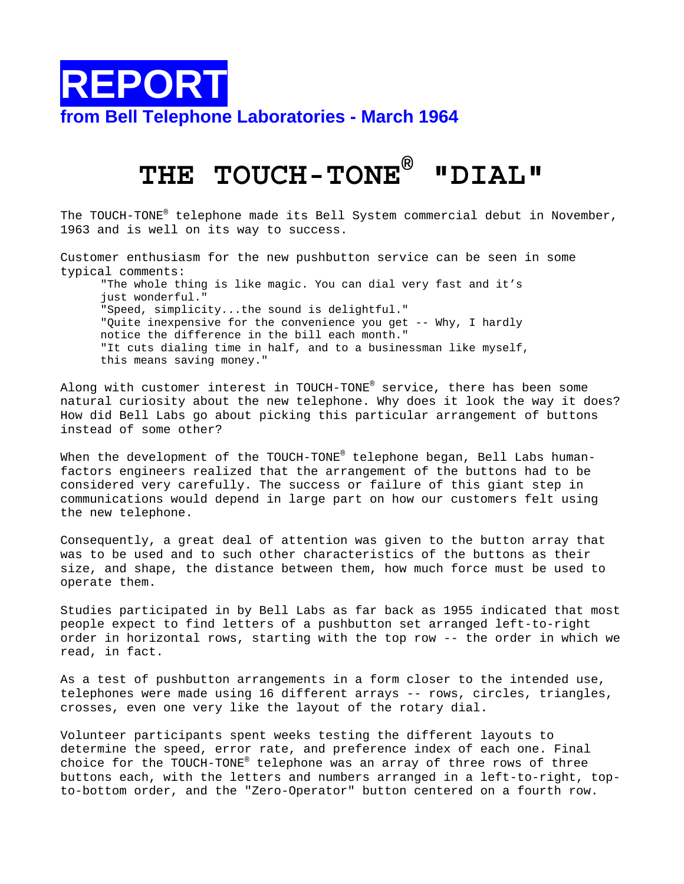

## **THE TOUCH-TONE® "DIAL"**

The TOUCH-TONE® telephone made its Bell System commercial debut in November, 1963 and is well on its way to success.

Customer enthusiasm for the new pushbutton service can be seen in some typical comments: "The whole thing is like magic. You can dial very fast and it's

just wonderful." "Speed, simplicity...the sound is delightful." "Quite inexpensive for the convenience you get -- Why, I hardly notice the difference in the bill each month." "It cuts dialing time in half, and to a businessman like myself, this means saving money."

Along with customer interest in TOUCH-TONE® service, there has been some natural curiosity about the new telephone. Why does it look the way it does? How did Bell Labs go about picking this particular arrangement of buttons instead of some other?

When the development of the TOUCH-TONE® telephone began, Bell Labs humanfactors engineers realized that the arrangement of the buttons had to be considered very carefully. The success or failure of this giant step in communications would depend in large part on how our customers felt using the new telephone.

Consequently, a great deal of attention was given to the button array that was to be used and to such other characteristics of the buttons as their size, and shape, the distance between them, how much force must be used to operate them.

Studies participated in by Bell Labs as far back as 1955 indicated that most people expect to find letters of a pushbutton set arranged left-to-right order in horizontal rows, starting with the top row -- the order in which we read, in fact.

As a test of pushbutton arrangements in a form closer to the intended use, telephones were made using 16 different arrays -- rows, circles, triangles, crosses, even one very like the layout of the rotary dial.

Volunteer participants spent weeks testing the different layouts to determine the speed, error rate, and preference index of each one. Final choice for the TOUCH-TONE® telephone was an array of three rows of three buttons each, with the letters and numbers arranged in a left-to-right, topto-bottom order, and the "Zero-Operator" button centered on a fourth row.